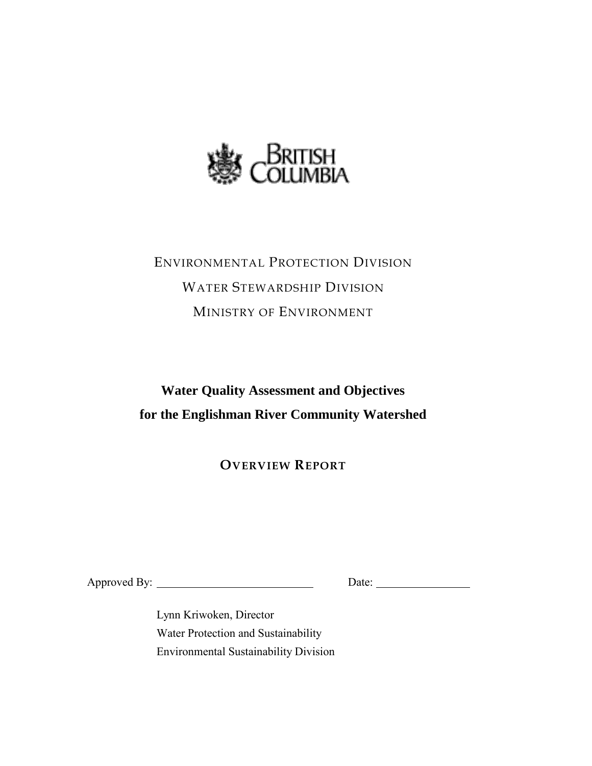

# ENVIRONMENTAL PROTECTION DIVISION WATER STEWARDSHIP DIVISION MINISTRY OF ENVIRONMENT

## **Water Quality Assessment and Objectives for the Englishman River Community Watershed**

**OVERVIEW REPORT**

Approved By: Date:

Lynn Kriwoken, Director Water Protection and Sustainability Environmental Sustainability Division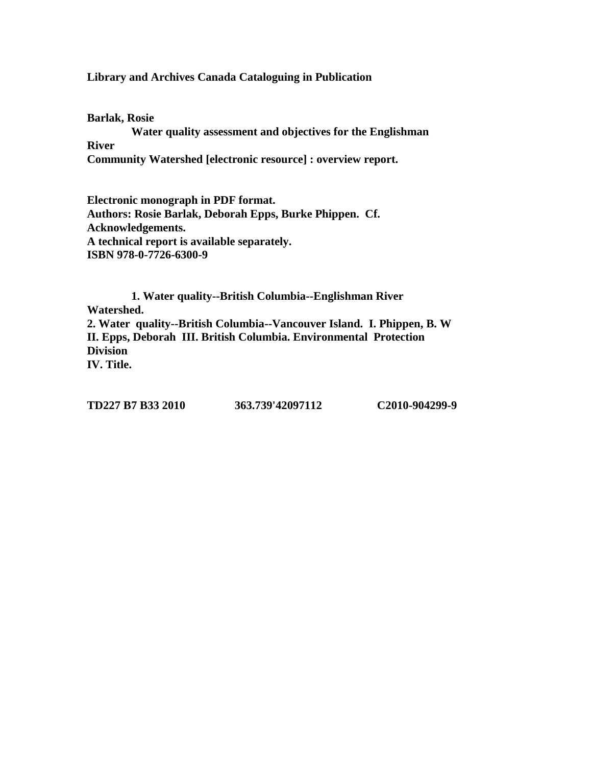**Library and Archives Canada Cataloguing in Publication**

**Barlak, Rosie Water quality assessment and objectives for the Englishman River Community Watershed [electronic resource] : overview report.**

**Electronic monograph in PDF format. Authors: Rosie Barlak, Deborah Epps, Burke Phippen. Cf. Acknowledgements. A technical report is available separately. ISBN 978-0-7726-6300-9**

**1. Water quality--British Columbia--Englishman River Watershed. 2. Water quality--British Columbia--Vancouver Island. I. Phippen, B. W II. Epps, Deborah III. British Columbia. Environmental Protection Division IV. Title.** 

**TD227 B7 B33 2010 363.739'42097112 C2010-904299-9**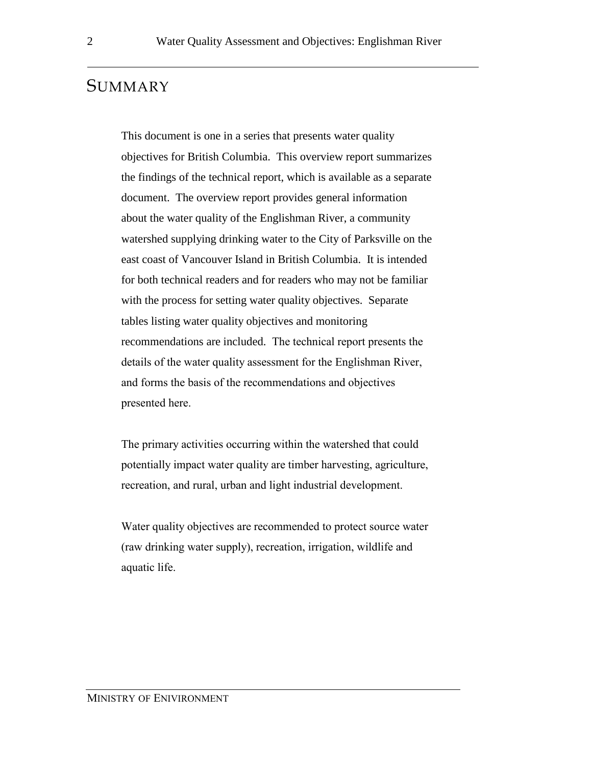## **SUMMARY**

This document is one in a series that presents water quality objectives for British Columbia. This overview report summarizes the findings of the technical report, which is available as a separate document. The overview report provides general information about the water quality of the Englishman River, a community watershed supplying drinking water to the City of Parksville on the east coast of Vancouver Island in British Columbia. It is intended for both technical readers and for readers who may not be familiar with the process for setting water quality objectives. Separate tables listing water quality objectives and monitoring recommendations are included. The technical report presents the details of the water quality assessment for the Englishman River, and forms the basis of the recommendations and objectives presented here.

The primary activities occurring within the watershed that could potentially impact water quality are timber harvesting, agriculture, recreation, and rural, urban and light industrial development.

Water quality objectives are recommended to protect source water (raw drinking water supply), recreation, irrigation, wildlife and aquatic life.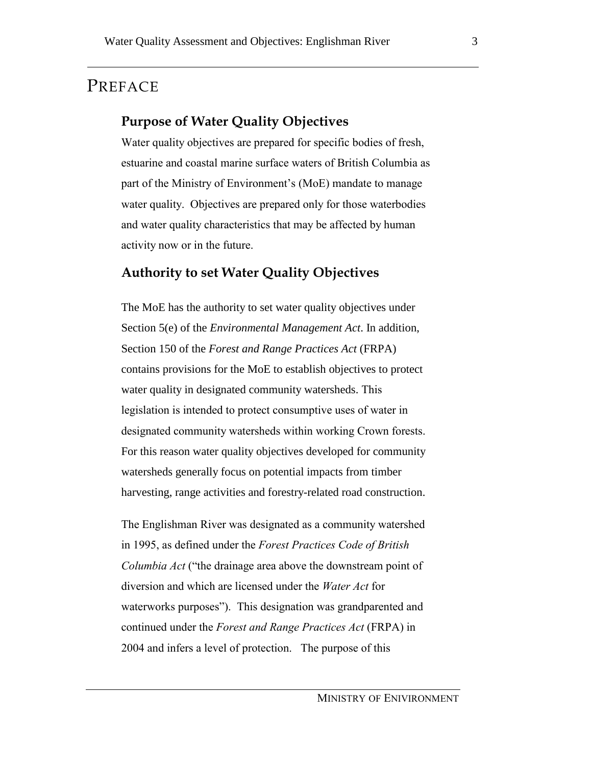## PREFACE

## **Purpose of Water Quality Objectives**

Water quality objectives are prepared for specific bodies of fresh, estuarine and coastal marine surface waters of British Columbia as part of the Ministry of Environment's (MoE) mandate to manage water quality. Objectives are prepared only for those waterbodies and water quality characteristics that may be affected by human activity now or in the future.

## **Authority to set Water Quality Objectives**

The MoE has the authority to set water quality objectives under Section 5(e) of the *Environmental Management Act*. In addition, Section 150 of the *Forest and Range Practices Act* (FRPA) contains provisions for the MoE to establish objectives to protect water quality in designated community watersheds. This legislation is intended to protect consumptive uses of water in designated community watersheds within working Crown forests. For this reason water quality objectives developed for community watersheds generally focus on potential impacts from timber harvesting, range activities and forestry-related road construction.

The Englishman River was designated as a community watershed in 1995, as defined under the *Forest Practices Code of British Columbia Act* ("the drainage area above the downstream point of diversion and which are licensed under the *Water Act* for waterworks purposes"). This designation was grandparented and continued under the *Forest and Range Practices Act* (FRPA) in 2004 and infers a level of protection. The purpose of this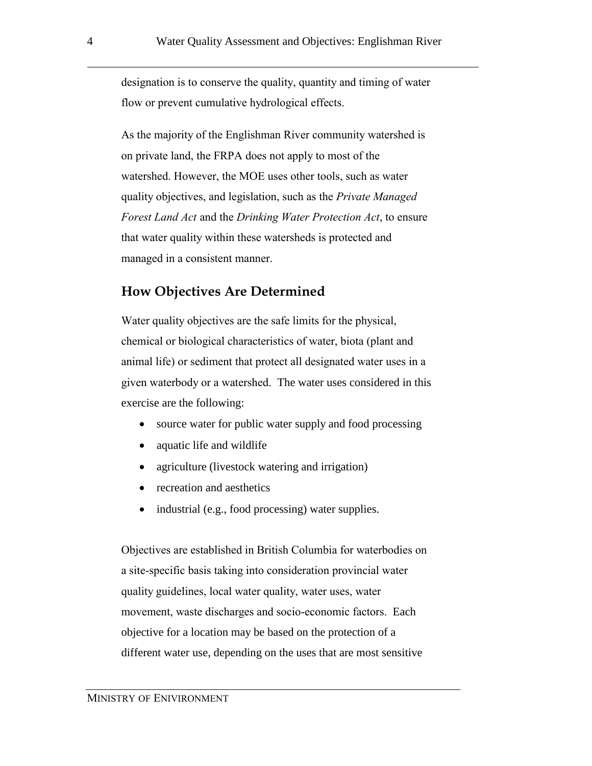designation is to conserve the quality, quantity and timing of water flow or prevent cumulative hydrological effects.

As the majority of the Englishman River community watershed is on private land, the FRPA does not apply to most of the watershed. However, the MOE uses other tools, such as water quality objectives, and legislation, such as the *Private Managed Forest Land Act* and the *Drinking Water Protection Act*, to ensure that water quality within these watersheds is protected and managed in a consistent manner.

## **How Objectives Are Determined**

Water quality objectives are the safe limits for the physical, chemical or biological characteristics of water, biota (plant and animal life) or sediment that protect all designated water uses in a given waterbody or a watershed. The water uses considered in this exercise are the following:

- source water for public water supply and food processing
- aquatic life and wildlife
- agriculture (livestock watering and irrigation)
- recreation and aesthetics
- industrial (e.g., food processing) water supplies.

Objectives are established in British Columbia for waterbodies on a site-specific basis taking into consideration provincial water quality guidelines, local water quality, water uses, water movement, waste discharges and socio-economic factors. Each objective for a location may be based on the protection of a different water use, depending on the uses that are most sensitive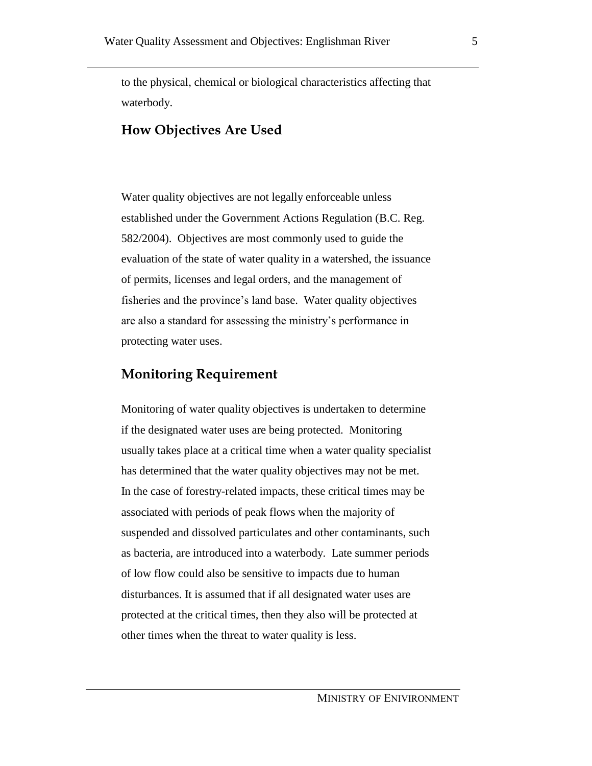to the physical, chemical or biological characteristics affecting that waterbody.

## **How Objectives Are Used**

Water quality objectives are not legally enforceable unless established under the Government Actions Regulation (B.C. Reg. 582/2004). Objectives are most commonly used to guide the evaluation of the state of water quality in a watershed, the issuance of permits, licenses and legal orders, and the management of fisheries and the province's land base. Water quality objectives are also a standard for assessing the ministry's performance in protecting water uses.

## **Monitoring Requirement**

Monitoring of water quality objectives is undertaken to determine if the designated water uses are being protected. Monitoring usually takes place at a critical time when a water quality specialist has determined that the water quality objectives may not be met. In the case of forestry-related impacts, these critical times may be associated with periods of peak flows when the majority of suspended and dissolved particulates and other contaminants, such as bacteria, are introduced into a waterbody. Late summer periods of low flow could also be sensitive to impacts due to human disturbances. It is assumed that if all designated water uses are protected at the critical times, then they also will be protected at other times when the threat to water quality is less.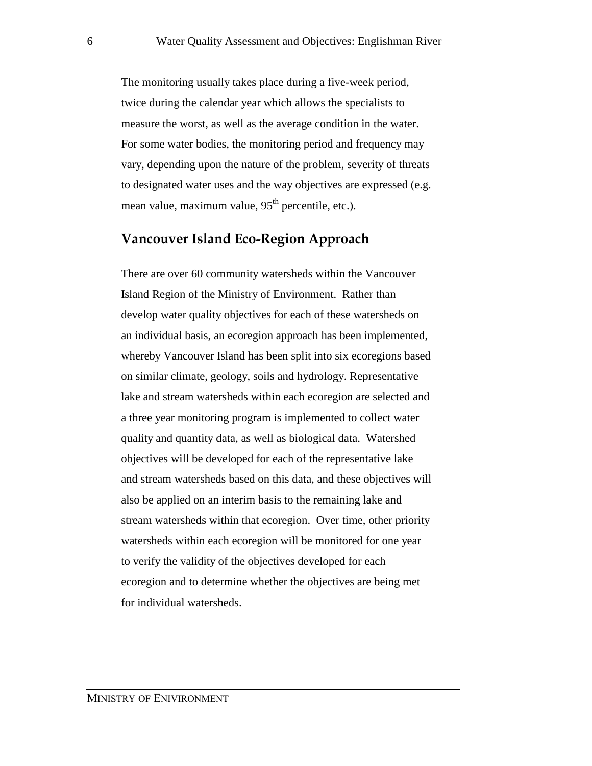The monitoring usually takes place during a five-week period, twice during the calendar year which allows the specialists to measure the worst, as well as the average condition in the water. For some water bodies, the monitoring period and frequency may vary, depending upon the nature of the problem, severity of threats to designated water uses and the way objectives are expressed (e.g. mean value, maximum value, 95<sup>th</sup> percentile, etc.).

#### **Vancouver Island Eco-Region Approach**

There are over 60 community watersheds within the Vancouver Island Region of the Ministry of Environment. Rather than develop water quality objectives for each of these watersheds on an individual basis, an ecoregion approach has been implemented, whereby Vancouver Island has been split into six ecoregions based on similar climate, geology, soils and hydrology. Representative lake and stream watersheds within each ecoregion are selected and a three year monitoring program is implemented to collect water quality and quantity data, as well as biological data. Watershed objectives will be developed for each of the representative lake and stream watersheds based on this data, and these objectives will also be applied on an interim basis to the remaining lake and stream watersheds within that ecoregion. Over time, other priority watersheds within each ecoregion will be monitored for one year to verify the validity of the objectives developed for each ecoregion and to determine whether the objectives are being met for individual watersheds.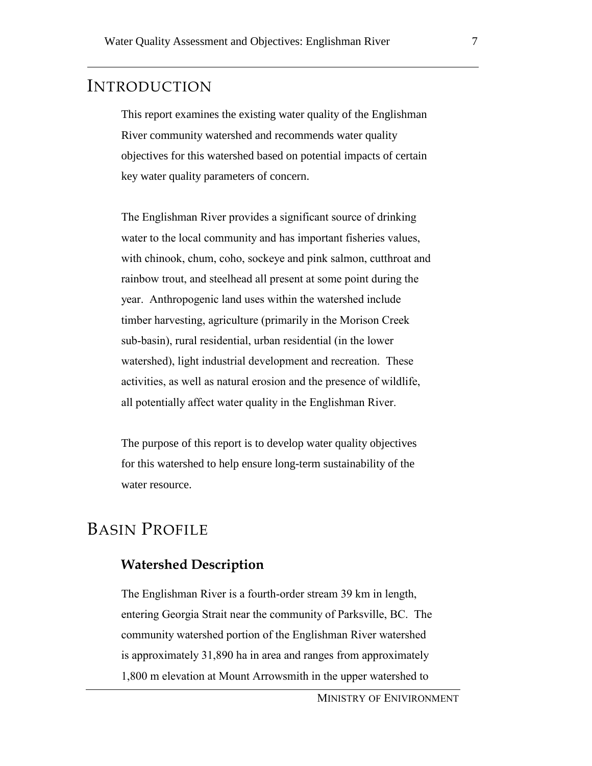## INTRODUCTION

This report examines the existing water quality of the Englishman River community watershed and recommends water quality objectives for this watershed based on potential impacts of certain key water quality parameters of concern.

The Englishman River provides a significant source of drinking water to the local community and has important fisheries values, with chinook, chum, coho, sockeye and pink salmon, cutthroat and rainbow trout, and steelhead all present at some point during the year. Anthropogenic land uses within the watershed include timber harvesting, agriculture (primarily in the Morison Creek sub-basin), rural residential, urban residential (in the lower watershed), light industrial development and recreation. These activities, as well as natural erosion and the presence of wildlife, all potentially affect water quality in the Englishman River.

The purpose of this report is to develop water quality objectives for this watershed to help ensure long-term sustainability of the water resource.

## BASIN PROFILE

## **Watershed Description**

The Englishman River is a fourth-order stream 39 km in length, entering Georgia Strait near the community of Parksville, BC. The community watershed portion of the Englishman River watershed is approximately 31,890 ha in area and ranges from approximately 1,800 m elevation at Mount Arrowsmith in the upper watershed to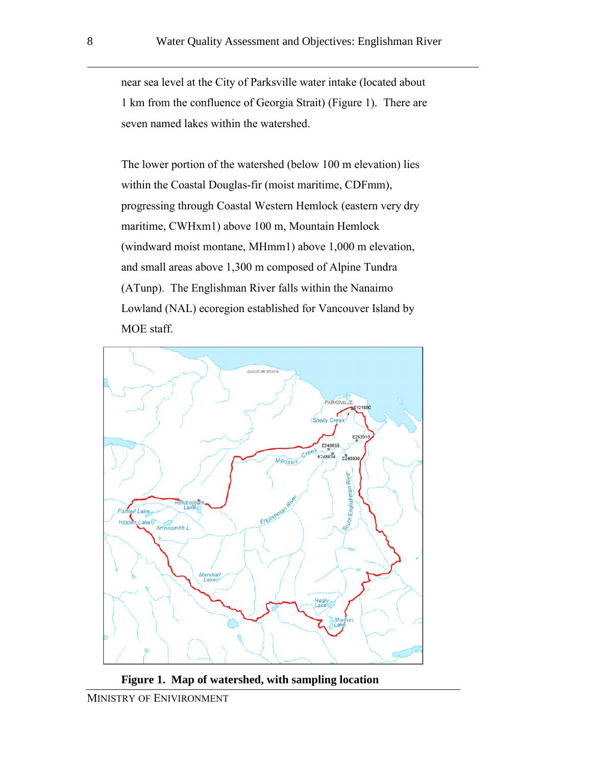near sea level at the City of Parksville water intake (located about 1 km from the confluence of Georgia Strait) (Figure 1). There are seven named lakes within the watershed.

The lower portion of the watershed (below 100 m elevation) lies within the Coastal Douglas-fir (moist maritime, CDFmm), progressing through Coastal Western Hemlock (eastern very dry maritime, CWHxm1) above 100 m, Mountain Hemlock (windward moist montane, MHmm1) above 1,000 m elevation, and small areas above 1,300 m composed of Alpine Tundra (ATunp). The Englishman River falls within the Nanaimo Lowland (NAL) ecoregion established for Vancouver Island by MOE staff.



**Figure 1. Map of watershed, with sampling location**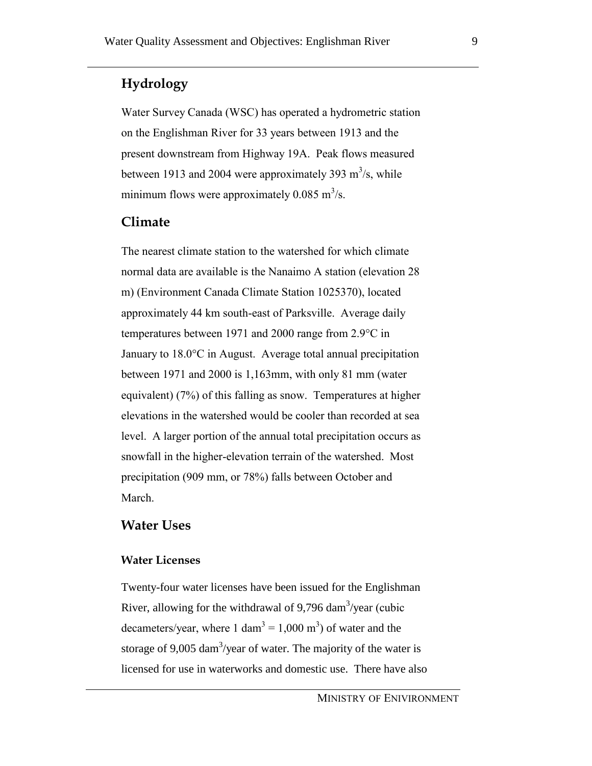## **Hydrology**

Water Survey Canada (WSC) has operated a hydrometric station on the Englishman River for 33 years between 1913 and the present downstream from Highway 19A. Peak flows measured between 1913 and 2004 were approximately 393  $\text{m}^3$ /s, while minimum flows were approximately 0.085 m<sup>3</sup>/s.

## **Climate**

The nearest climate station to the watershed for which climate normal data are available is the Nanaimo A station (elevation 28 m) (Environment Canada Climate Station 1025370), located approximately 44 km south-east of Parksville. Average daily temperatures between 1971 and 2000 range from 2.9°C in January to 18.0°C in August. Average total annual precipitation between 1971 and 2000 is 1,163mm, with only 81 mm (water equivalent) (7%) of this falling as snow. Temperatures at higher elevations in the watershed would be cooler than recorded at sea level. A larger portion of the annual total precipitation occurs as snowfall in the higher-elevation terrain of the watershed. Most precipitation (909 mm, or 78%) falls between October and March.

#### **Water Uses**

#### **Water Licenses**

Twenty-four water licenses have been issued for the Englishman River, allowing for the withdrawal of 9,796 dam<sup>3</sup>/year (cubic decameters/year, where 1 dam<sup>3</sup> = 1,000 m<sup>3</sup>) of water and the storage of 9,005 dam<sup>3</sup>/year of water. The majority of the water is licensed for use in waterworks and domestic use. There have also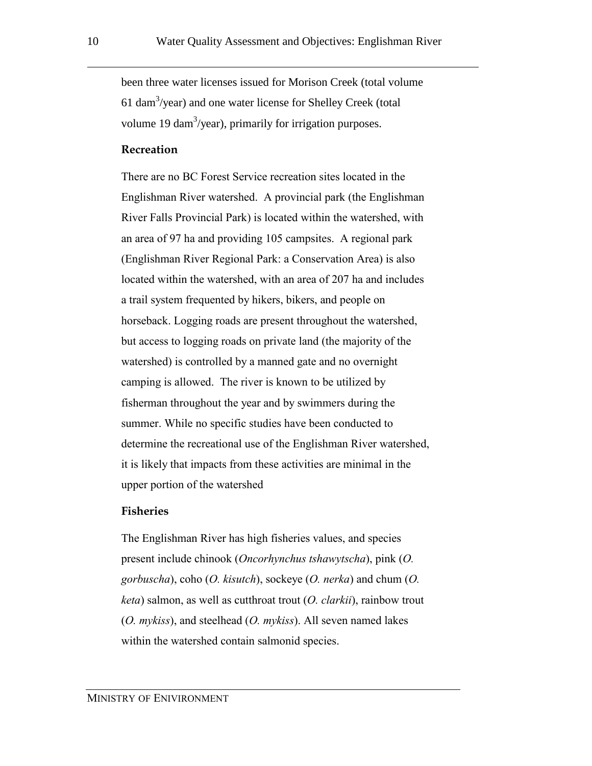been three water licenses issued for Morison Creek (total volume 61 dam<sup>3</sup>/year) and one water license for Shelley Creek (total volume 19 dam<sup>3</sup>/year), primarily for irrigation purposes.

#### **Recreation**

There are no BC Forest Service recreation sites located in the Englishman River watershed. A provincial park (the Englishman River Falls Provincial Park) is located within the watershed, with an area of 97 ha and providing 105 campsites. A regional park (Englishman River Regional Park: a Conservation Area) is also located within the watershed, with an area of 207 ha and includes a trail system frequented by hikers, bikers, and people on horseback. Logging roads are present throughout the watershed, but access to logging roads on private land (the majority of the watershed) is controlled by a manned gate and no overnight camping is allowed. The river is known to be utilized by fisherman throughout the year and by swimmers during the summer. While no specific studies have been conducted to determine the recreational use of the Englishman River watershed, it is likely that impacts from these activities are minimal in the upper portion of the watershed

#### **Fisheries**

The Englishman River has high fisheries values, and species present include chinook (*Oncorhynchus tshawytscha*), pink (*O. gorbuscha*), coho (*O. kisutch*), sockeye (*O. nerka*) and chum (*O. keta*) salmon, as well as cutthroat trout (*O. clarkii*), rainbow trout (*O. mykiss*), and steelhead (*O. mykiss*). All seven named lakes within the watershed contain salmonid species.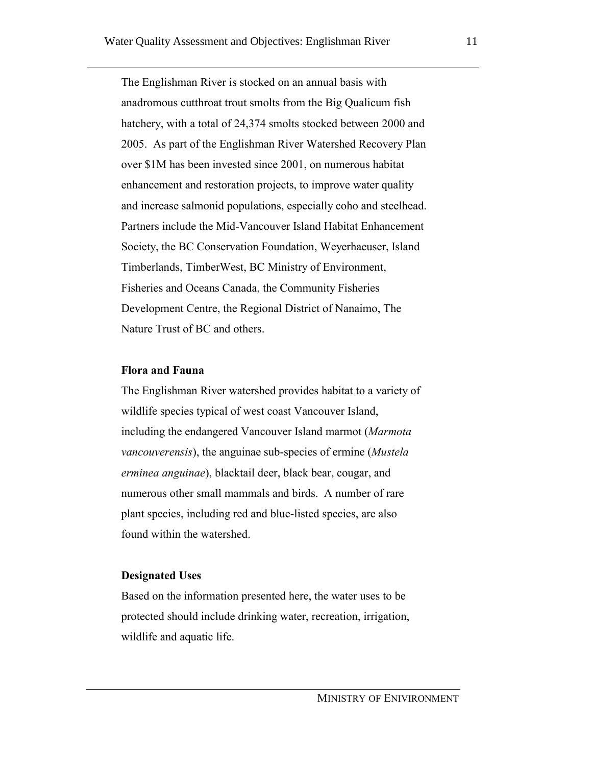The Englishman River is stocked on an annual basis with anadromous cutthroat trout smolts from the Big Qualicum fish hatchery, with a total of 24,374 smolts stocked between 2000 and 2005. As part of the Englishman River Watershed Recovery Plan over \$1M has been invested since 2001, on numerous habitat enhancement and restoration projects, to improve water quality and increase salmonid populations, especially coho and steelhead. Partners include the Mid-Vancouver Island Habitat Enhancement Society, the BC Conservation Foundation, Weyerhaeuser, Island Timberlands, TimberWest, BC Ministry of Environment, Fisheries and Oceans Canada, the Community Fisheries Development Centre, the Regional District of Nanaimo, The Nature Trust of BC and others.

#### **Flora and Fauna**

The Englishman River watershed provides habitat to a variety of wildlife species typical of west coast Vancouver Island, including the endangered Vancouver Island marmot (*Marmota vancouverensis*), the anguinae sub-species of ermine (*Mustela erminea anguinae*), blacktail deer, black bear, cougar, and numerous other small mammals and birds. A number of rare plant species, including red and blue-listed species, are also found within the watershed.

#### **Designated Uses**

Based on the information presented here, the water uses to be protected should include drinking water, recreation, irrigation, wildlife and aquatic life.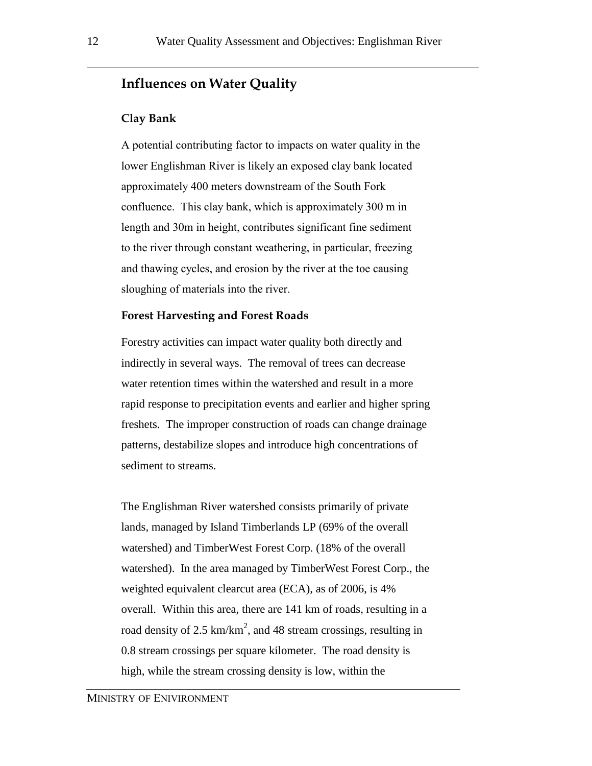## **Influences on Water Quality**

#### **Clay Bank**

A potential contributing factor to impacts on water quality in the lower Englishman River is likely an exposed clay bank located approximately 400 meters downstream of the South Fork confluence. This clay bank, which is approximately 300 m in length and 30m in height, contributes significant fine sediment to the river through constant weathering, in particular, freezing and thawing cycles, and erosion by the river at the toe causing sloughing of materials into the river.

#### **Forest Harvesting and Forest Roads**

Forestry activities can impact water quality both directly and indirectly in several ways. The removal of trees can decrease water retention times within the watershed and result in a more rapid response to precipitation events and earlier and higher spring freshets. The improper construction of roads can change drainage patterns, destabilize slopes and introduce high concentrations of sediment to streams.

The Englishman River watershed consists primarily of private lands, managed by Island Timberlands LP (69% of the overall watershed) and TimberWest Forest Corp. (18% of the overall watershed). In the area managed by TimberWest Forest Corp., the weighted equivalent clearcut area (ECA), as of 2006, is 4% overall. Within this area, there are 141 km of roads, resulting in a road density of 2.5  $km/km^2$ , and 48 stream crossings, resulting in 0.8 stream crossings per square kilometer. The road density is high, while the stream crossing density is low, within the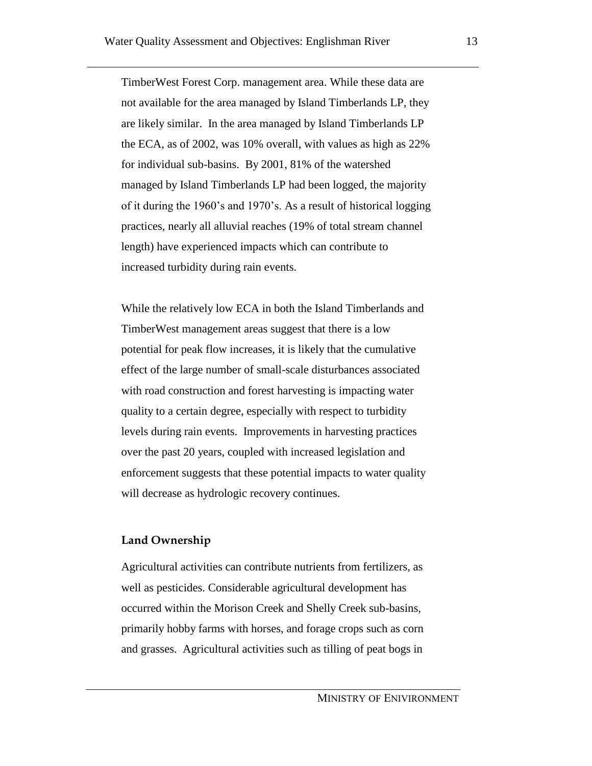TimberWest Forest Corp. management area. While these data are not available for the area managed by Island Timberlands LP, they are likely similar. In the area managed by Island Timberlands LP the ECA, as of 2002, was 10% overall, with values as high as 22% for individual sub-basins. By 2001, 81% of the watershed managed by Island Timberlands LP had been logged, the majority of it during the 1960's and 1970's. As a result of historical logging practices, nearly all alluvial reaches (19% of total stream channel length) have experienced impacts which can contribute to increased turbidity during rain events.

While the relatively low ECA in both the Island Timberlands and TimberWest management areas suggest that there is a low potential for peak flow increases, it is likely that the cumulative effect of the large number of small-scale disturbances associated with road construction and forest harvesting is impacting water quality to a certain degree, especially with respect to turbidity levels during rain events. Improvements in harvesting practices over the past 20 years, coupled with increased legislation and enforcement suggests that these potential impacts to water quality will decrease as hydrologic recovery continues.

#### **Land Ownership**

Agricultural activities can contribute nutrients from fertilizers, as well as pesticides. Considerable agricultural development has occurred within the Morison Creek and Shelly Creek sub-basins, primarily hobby farms with horses, and forage crops such as corn and grasses. Agricultural activities such as tilling of peat bogs in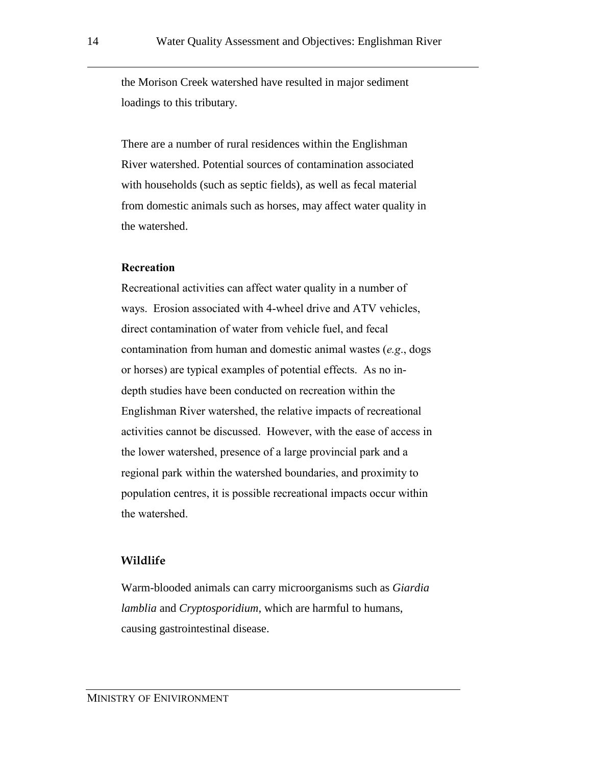the Morison Creek watershed have resulted in major sediment loadings to this tributary.

There are a number of rural residences within the Englishman River watershed. Potential sources of contamination associated with households (such as septic fields), as well as fecal material from domestic animals such as horses, may affect water quality in the watershed.

#### **Recreation**

Recreational activities can affect water quality in a number of ways. Erosion associated with 4-wheel drive and ATV vehicles, direct contamination of water from vehicle fuel, and fecal contamination from human and domestic animal wastes (*e.g*., dogs or horses) are typical examples of potential effects. As no indepth studies have been conducted on recreation within the Englishman River watershed, the relative impacts of recreational activities cannot be discussed. However, with the ease of access in the lower watershed, presence of a large provincial park and a regional park within the watershed boundaries, and proximity to population centres, it is possible recreational impacts occur within the watershed.

#### **Wildlife**

Warm-blooded animals can carry microorganisms such as *Giardia lamblia* and *Cryptosporidium*, which are harmful to humans, causing gastrointestinal disease.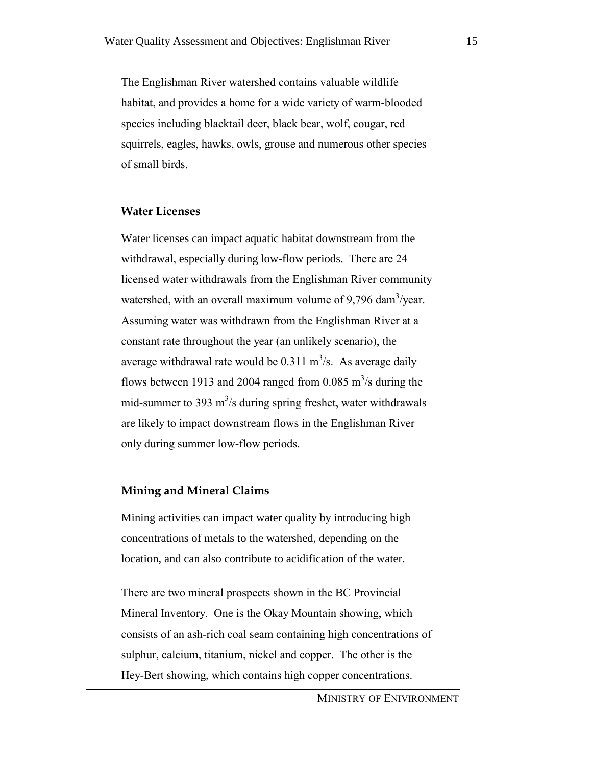The Englishman River watershed contains valuable wildlife habitat, and provides a home for a wide variety of warm-blooded species including blacktail deer, black bear, wolf, cougar, red squirrels, eagles, hawks, owls, grouse and numerous other species of small birds.

#### **Water Licenses**

Water licenses can impact aquatic habitat downstream from the withdrawal, especially during low-flow periods. There are 24 licensed water withdrawals from the Englishman River community watershed, with an overall maximum volume of  $9,796$  dam<sup>3</sup>/year. Assuming water was withdrawn from the Englishman River at a constant rate throughout the year (an unlikely scenario), the average withdrawal rate would be  $0.311 \text{ m}^3/\text{s}$ . As average daily flows between 1913 and 2004 ranged from 0.085  $\text{m}^3$ /s during the mid-summer to 393  $\text{m}^3$ /s during spring freshet, water withdrawals are likely to impact downstream flows in the Englishman River only during summer low-flow periods.

#### **Mining and Mineral Claims**

Mining activities can impact water quality by introducing high concentrations of metals to the watershed, depending on the location, and can also contribute to acidification of the water.

There are two mineral prospects shown in the BC Provincial Mineral Inventory. One is the Okay Mountain showing, which consists of an ash-rich coal seam containing high concentrations of sulphur, calcium, titanium, nickel and copper. The other is the Hey-Bert showing, which contains high copper concentrations.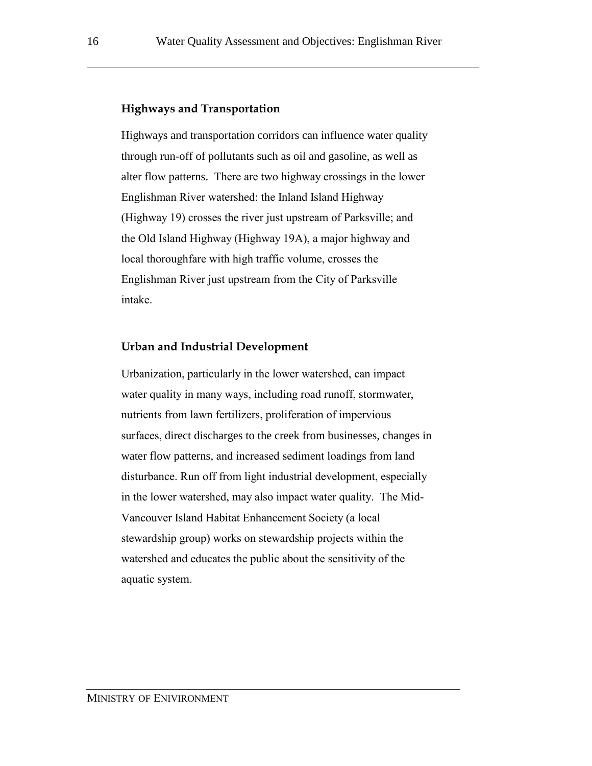#### **Highways and Transportation**

Highways and transportation corridors can influence water quality through run-off of pollutants such as oil and gasoline, as well as alter flow patterns. There are two highway crossings in the lower Englishman River watershed: the Inland Island Highway (Highway 19) crosses the river just upstream of Parksville; and the Old Island Highway (Highway 19A), a major highway and local thoroughfare with high traffic volume, crosses the Englishman River just upstream from the City of Parksville intake.

#### **Urban and Industrial Development**

Urbanization, particularly in the lower watershed, can impact water quality in many ways, including road runoff, stormwater, nutrients from lawn fertilizers, proliferation of impervious surfaces, direct discharges to the creek from businesses, changes in water flow patterns, and increased sediment loadings from land disturbance. Run off from light industrial development, especially in the lower watershed, may also impact water quality. The Mid-Vancouver Island Habitat Enhancement Society (a local stewardship group) works on stewardship projects within the watershed and educates the public about the sensitivity of the aquatic system.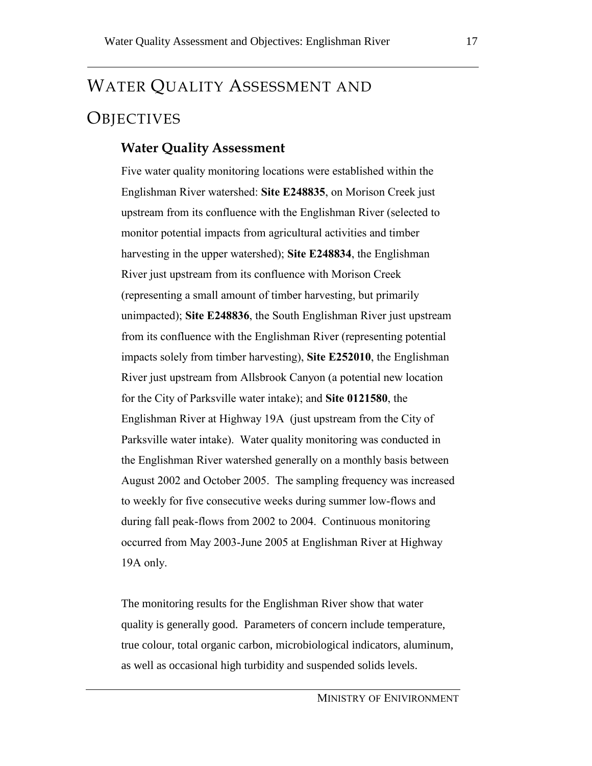# WATER QUALITY ASSESSMENT AND **OBJECTIVES**

## **Water Quality Assessment**

Five water quality monitoring locations were established within the Englishman River watershed: **Site E248835**, on Morison Creek just upstream from its confluence with the Englishman River (selected to monitor potential impacts from agricultural activities and timber harvesting in the upper watershed); **Site E248834**, the Englishman River just upstream from its confluence with Morison Creek (representing a small amount of timber harvesting, but primarily unimpacted); **Site E248836**, the South Englishman River just upstream from its confluence with the Englishman River (representing potential impacts solely from timber harvesting), **Site E252010**, the Englishman River just upstream from Allsbrook Canyon (a potential new location for the City of Parksville water intake); and **Site 0121580**, the Englishman River at Highway 19A (just upstream from the City of Parksville water intake). Water quality monitoring was conducted in the Englishman River watershed generally on a monthly basis between August 2002 and October 2005. The sampling frequency was increased to weekly for five consecutive weeks during summer low-flows and during fall peak-flows from 2002 to 2004. Continuous monitoring occurred from May 2003-June 2005 at Englishman River at Highway 19A only.

The monitoring results for the Englishman River show that water quality is generally good. Parameters of concern include temperature, true colour, total organic carbon, microbiological indicators, aluminum, as well as occasional high turbidity and suspended solids levels.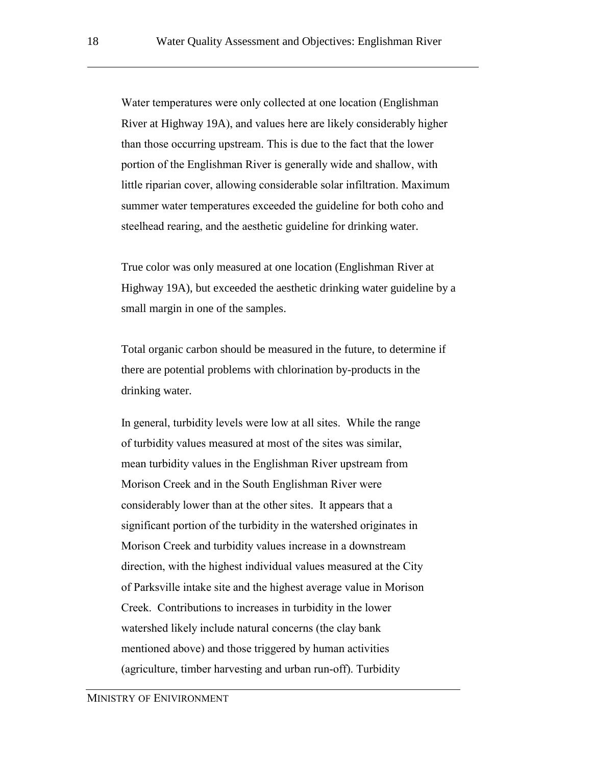Water temperatures were only collected at one location (Englishman River at Highway 19A), and values here are likely considerably higher than those occurring upstream. This is due to the fact that the lower portion of the Englishman River is generally wide and shallow, with little riparian cover, allowing considerable solar infiltration. Maximum summer water temperatures exceeded the guideline for both coho and steelhead rearing, and the aesthetic guideline for drinking water.

True color was only measured at one location (Englishman River at Highway 19A), but exceeded the aesthetic drinking water guideline by a small margin in one of the samples.

Total organic carbon should be measured in the future, to determine if there are potential problems with chlorination by-products in the drinking water.

In general, turbidity levels were low at all sites. While the range of turbidity values measured at most of the sites was similar, mean turbidity values in the Englishman River upstream from Morison Creek and in the South Englishman River were considerably lower than at the other sites. It appears that a significant portion of the turbidity in the watershed originates in Morison Creek and turbidity values increase in a downstream direction, with the highest individual values measured at the City of Parksville intake site and the highest average value in Morison Creek. Contributions to increases in turbidity in the lower watershed likely include natural concerns (the clay bank mentioned above) and those triggered by human activities (agriculture, timber harvesting and urban run-off). Turbidity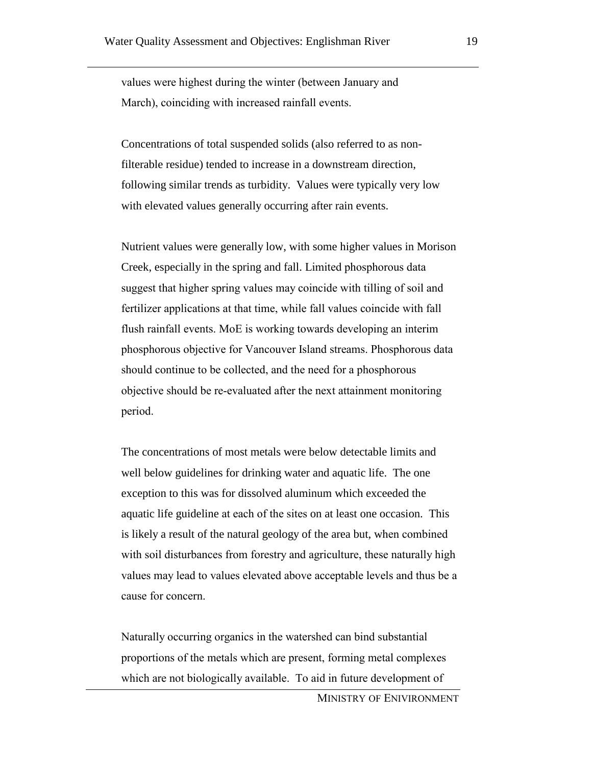values were highest during the winter (between January and March), coinciding with increased rainfall events.

Concentrations of total suspended solids (also referred to as nonfilterable residue) tended to increase in a downstream direction, following similar trends as turbidity. Values were typically very low with elevated values generally occurring after rain events.

Nutrient values were generally low, with some higher values in Morison Creek, especially in the spring and fall. Limited phosphorous data suggest that higher spring values may coincide with tilling of soil and fertilizer applications at that time, while fall values coincide with fall flush rainfall events. MoE is working towards developing an interim phosphorous objective for Vancouver Island streams. Phosphorous data should continue to be collected, and the need for a phosphorous objective should be re-evaluated after the next attainment monitoring period.

The concentrations of most metals were below detectable limits and well below guidelines for drinking water and aquatic life. The one exception to this was for dissolved aluminum which exceeded the aquatic life guideline at each of the sites on at least one occasion. This is likely a result of the natural geology of the area but, when combined with soil disturbances from forestry and agriculture, these naturally high values may lead to values elevated above acceptable levels and thus be a cause for concern.

Naturally occurring organics in the watershed can bind substantial proportions of the metals which are present, forming metal complexes which are not biologically available. To aid in future development of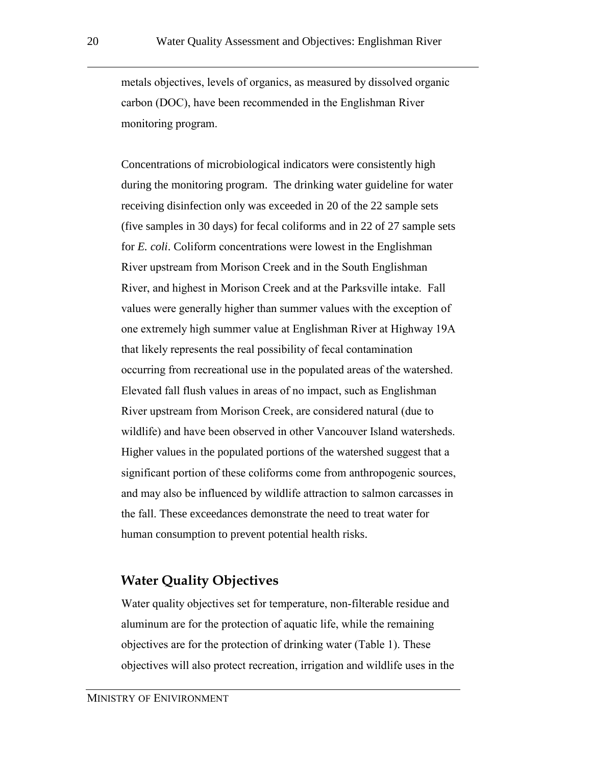metals objectives, levels of organics, as measured by dissolved organic carbon (DOC), have been recommended in the Englishman River monitoring program.

Concentrations of microbiological indicators were consistently high during the monitoring program. The drinking water guideline for water receiving disinfection only was exceeded in 20 of the 22 sample sets (five samples in 30 days) for fecal coliforms and in 22 of 27 sample sets for *E. coli*. Coliform concentrations were lowest in the Englishman River upstream from Morison Creek and in the South Englishman River, and highest in Morison Creek and at the Parksville intake. Fall values were generally higher than summer values with the exception of one extremely high summer value at Englishman River at Highway 19A that likely represents the real possibility of fecal contamination occurring from recreational use in the populated areas of the watershed. Elevated fall flush values in areas of no impact, such as Englishman River upstream from Morison Creek, are considered natural (due to wildlife) and have been observed in other Vancouver Island watersheds. Higher values in the populated portions of the watershed suggest that a significant portion of these coliforms come from anthropogenic sources, and may also be influenced by wildlife attraction to salmon carcasses in the fall. These exceedances demonstrate the need to treat water for human consumption to prevent potential health risks.

## **Water Quality Objectives**

Water quality objectives set for temperature, non-filterable residue and aluminum are for the protection of aquatic life, while the remaining objectives are for the protection of drinking water (Table 1). These objectives will also protect recreation, irrigation and wildlife uses in the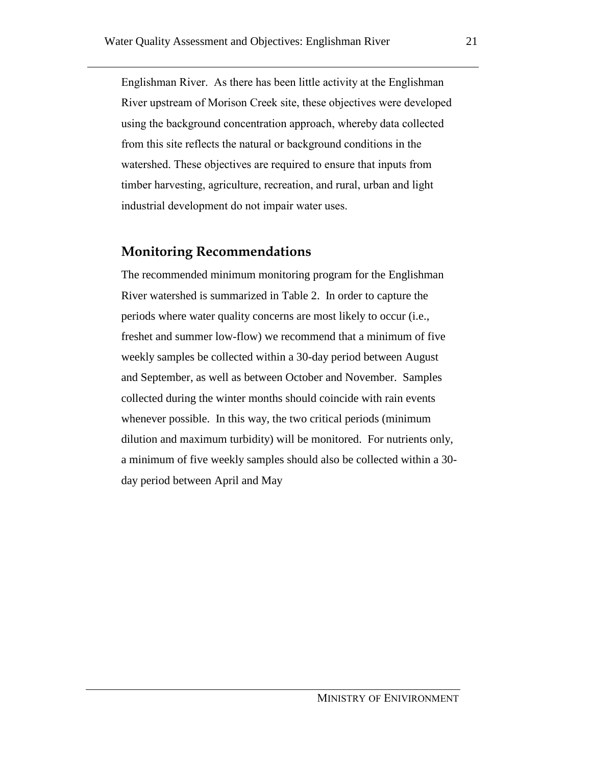Englishman River. As there has been little activity at the Englishman River upstream of Morison Creek site, these objectives were developed using the background concentration approach, whereby data collected from this site reflects the natural or background conditions in the watershed. These objectives are required to ensure that inputs from timber harvesting, agriculture, recreation, and rural, urban and light industrial development do not impair water uses.

## **Monitoring Recommendations**

The recommended minimum monitoring program for the Englishman River watershed is summarized in [Table 2.](#page-24-0) In order to capture the periods where water quality concerns are most likely to occur (i.e., freshet and summer low-flow) we recommend that a minimum of five weekly samples be collected within a 30-day period between August and September, as well as between October and November. Samples collected during the winter months should coincide with rain events whenever possible. In this way, the two critical periods (minimum dilution and maximum turbidity) will be monitored. For nutrients only, a minimum of five weekly samples should also be collected within a 30 day period between April and May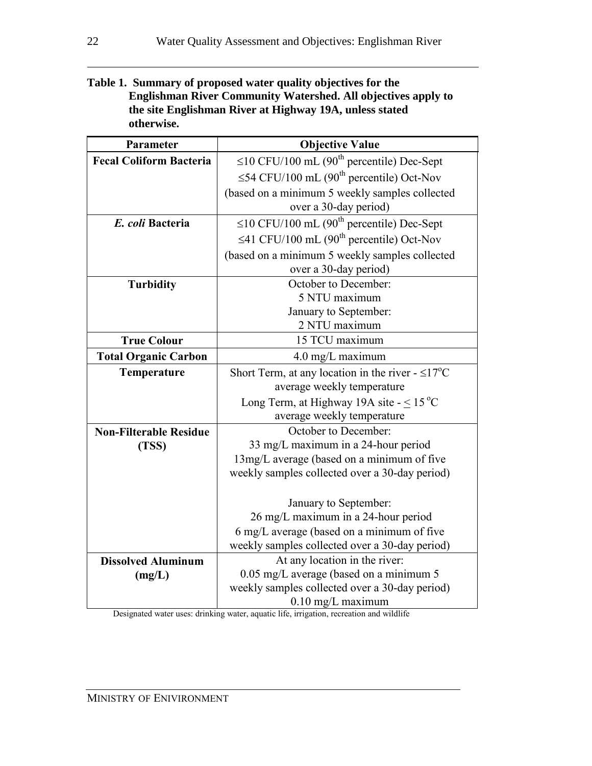#### **Table 1. Summary of proposed water quality objectives for the Englishman River Community Watershed. All objectives apply to the site Englishman River at Highway 19A, unless stated otherwise.**

| Parameter                      | <b>Objective Value</b>                                              |  |
|--------------------------------|---------------------------------------------------------------------|--|
| <b>Fecal Coliform Bacteria</b> | $\leq$ 10 CFU/100 mL (90 <sup>th</sup> percentile) Dec-Sept         |  |
|                                | $\leq$ 54 CFU/100 mL (90 <sup>th</sup> percentile) Oct-Nov          |  |
|                                | (based on a minimum 5 weekly samples collected                      |  |
|                                | over a 30-day period)                                               |  |
| E. coli Bacteria               | $\leq$ 10 CFU/100 mL (90 <sup>th</sup> percentile) Dec-Sept         |  |
|                                | $\leq$ 41 CFU/100 mL (90 <sup>th</sup> percentile) Oct-Nov          |  |
|                                | (based on a minimum 5 weekly samples collected                      |  |
|                                | over a 30-day period)                                               |  |
| <b>Turbidity</b>               | October to December:                                                |  |
|                                | 5 NTU maximum                                                       |  |
|                                | January to September:                                               |  |
|                                | 2 NTU maximum                                                       |  |
| <b>True Colour</b>             | 15 TCU maximum                                                      |  |
| <b>Total Organic Carbon</b>    | 4.0 mg/L maximum                                                    |  |
| Temperature                    | Short Term, at any location in the river - $\leq$ 17 <sup>o</sup> C |  |
|                                | average weekly temperature                                          |  |
|                                | Long Term, at Highway 19A site $-$ < 15 °C                          |  |
|                                | average weekly temperature                                          |  |
| <b>Non-Filterable Residue</b>  | October to December:                                                |  |
| (TSS)                          | 33 mg/L maximum in a 24-hour period                                 |  |
|                                | 13mg/L average (based on a minimum of five                          |  |
|                                | weekly samples collected over a 30-day period)                      |  |
|                                |                                                                     |  |
|                                | January to September:                                               |  |
|                                | 26 mg/L maximum in a 24-hour period                                 |  |
|                                | 6 mg/L average (based on a minimum of five                          |  |
|                                | weekly samples collected over a 30-day period)                      |  |
| <b>Dissolved Aluminum</b>      | At any location in the river:                                       |  |
| (mg/L)                         | $0.05$ mg/L average (based on a minimum 5                           |  |
|                                | weekly samples collected over a 30-day period)                      |  |
|                                | $0.10$ mg/L maximum                                                 |  |

Designated water uses: drinking water, aquatic life, irrigation, recreation and wildlife